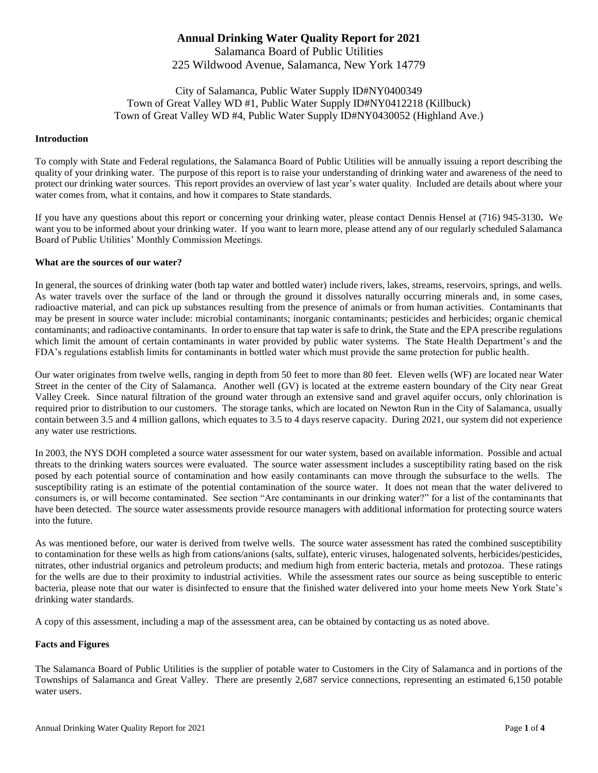# **Annual Drinking Water Quality Report for 2021** Salamanca Board of Public Utilities 225 Wildwood Avenue, Salamanca, New York 14779

City of Salamanca, Public Water Supply ID#NY0400349 Town of Great Valley WD #1, Public Water Supply ID#NY0412218 (Killbuck) Town of Great Valley WD #4, Public Water Supply ID#NY0430052 (Highland Ave.)

#### **Introduction**

To comply with State and Federal regulations, the Salamanca Board of Public Utilities will be annually issuing a report describing the quality of your drinking water. The purpose of this report is to raise your understanding of drinking water and awareness of the need to protect our drinking water sources. This report provides an overview of last year's water quality. Included are details about where your water comes from, what it contains, and how it compares to State standards.

If you have any questions about this report or concerning your drinking water, please contact Dennis Hensel at (716) 945-3130**.** We want you to be informed about your drinking water. If you want to learn more, please attend any of our regularly scheduled Salamanca Board of Public Utilities' Monthly Commission Meetings.

#### **What are the sources of our water?**

In general, the sources of drinking water (both tap water and bottled water) include rivers, lakes, streams, reservoirs, springs, and wells. As water travels over the surface of the land or through the ground it dissolves naturally occurring minerals and, in some cases, radioactive material, and can pick up substances resulting from the presence of animals or from human activities. Contaminants that may be present in source water include: microbial contaminants; inorganic contaminants; pesticides and herbicides; organic chemical contaminants; and radioactive contaminants. In order to ensure that tap water is safe to drink, the State and the EPA prescribe regulations which limit the amount of certain contaminants in water provided by public water systems. The State Health Department's and the FDA's regulations establish limits for contaminants in bottled water which must provide the same protection for public health.

Our water originates from twelve wells, ranging in depth from 50 feet to more than 80 feet. Eleven wells (WF) are located near Water Street in the center of the City of Salamanca. Another well (GV) is located at the extreme eastern boundary of the City near Great Valley Creek. Since natural filtration of the ground water through an extensive sand and gravel aquifer occurs, only chlorination is required prior to distribution to our customers. The storage tanks, which are located on Newton Run in the City of Salamanca, usually contain between 3.5 and 4 million gallons, which equates to 3.5 to 4 days reserve capacity. During 2021, our system did not experience any water use restrictions.

In 2003, the NYS DOH completed a source water assessment for our water system, based on available information. Possible and actual threats to the drinking waters sources were evaluated. The source water assessment includes a susceptibility rating based on the risk posed by each potential source of contamination and how easily contaminants can move through the subsurface to the wells. The susceptibility rating is an estimate of the potential contamination of the source water. It does not mean that the water delivered to consumers is, or will become contaminated. See section "Are contaminants in our drinking water?" for a list of the contaminants that have been detected. The source water assessments provide resource managers with additional information for protecting source waters into the future.

As was mentioned before, our water is derived from twelve wells. The source water assessment has rated the combined susceptibility to contamination for these wells as high from cations/anions (salts, sulfate), enteric viruses, halogenated solvents, herbicides/pesticides, nitrates, other industrial organics and petroleum products; and medium high from enteric bacteria, metals and protozoa. These ratings for the wells are due to their proximity to industrial activities. While the assessment rates our source as being susceptible to enteric bacteria, please note that our water is disinfected to ensure that the finished water delivered into your home meets New York State's drinking water standards.

A copy of this assessment, including a map of the assessment area, can be obtained by contacting us as noted above.

#### **Facts and Figures**

The Salamanca Board of Public Utilities is the supplier of potable water to Customers in the City of Salamanca and in portions of the Townships of Salamanca and Great Valley. There are presently 2,687 service connections, representing an estimated 6,150 potable water users.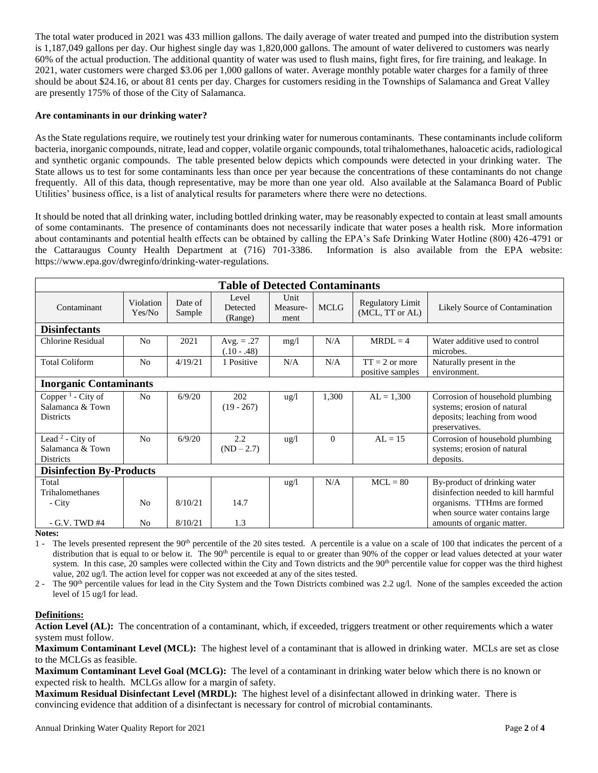The total water produced in 2021 was 433 million gallons. The daily average of water treated and pumped into the distribution system is 1,187,049 gallons per day. Our highest single day was 1,820,000 gallons. The amount of water delivered to customers was nearly 60% of the actual production. The additional quantity of water was used to flush mains, fight fires, for fire training, and leakage. In 2021, water customers were charged \$3.06 per 1,000 gallons of water. Average monthly potable water charges for a family of three should be about \$24.16, or about 81 cents per day. Charges for customers residing in the Townships of Salamanca and Great Valley are presently 175% of those of the City of Salamanca.

# **Are contaminants in our drinking water?**

As the State regulations require, we routinely test your drinking water for numerous contaminants. These contaminants include coliform bacteria, inorganic compounds, nitrate, lead and copper, volatile organic compounds, total trihalomethanes, haloacetic acids, radiological and synthetic organic compounds. The table presented below depicts which compounds were detected in your drinking water. The State allows us to test for some contaminants less than once per year because the concentrations of these contaminants do not change frequently. All of this data, though representative, may be more than one year old. Also available at the Salamanca Board of Public Utilities' business office, is a list of analytical results for parameters where there were no detections.

It should be noted that all drinking water, including bottled drinking water, may be reasonably expected to contain at least small amounts of some contaminants. The presence of contaminants does not necessarily indicate that water poses a health risk. More information about contaminants and potential health effects can be obtained by calling the EPA's Safe Drinking Water Hotline (800) 426-4791 or the Cattaraugus County Health Department at (716) 701-3386. Information is also available from the EPA website: [https://www.epa.gov/dwreginfo/drinking-water-regulations.](https://www.epa.gov/dwreginfo/drinking-water-regulations)

| <b>Table of Detected Contaminants</b>                                 |                     |                   |                               |                          |             |                                            |                                                                                                                  |
|-----------------------------------------------------------------------|---------------------|-------------------|-------------------------------|--------------------------|-------------|--------------------------------------------|------------------------------------------------------------------------------------------------------------------|
| Contaminant                                                           | Violation<br>Yes/No | Date of<br>Sample | Level<br>Detected<br>(Range)  | Unit<br>Measure-<br>ment | <b>MCLG</b> | <b>Regulatory Limit</b><br>(MCL, TT or AL) | Likely Source of Contamination                                                                                   |
| <b>Disinfectants</b>                                                  |                     |                   |                               |                          |             |                                            |                                                                                                                  |
| <b>Chlorine Residual</b>                                              | N <sub>0</sub>      | 2021              | Avg. $= .27$<br>$(.10 - .48)$ | mg/1                     | N/A         | $MRDL = 4$                                 | Water additive used to control<br>microbes.                                                                      |
| <b>Total Coliform</b>                                                 | N <sub>0</sub>      | 4/19/21           | 1 Positive                    | N/A                      | N/A         | $TT = 2$ or more<br>positive samples       | Naturally present in the<br>environment.                                                                         |
| <b>Inorganic Contaminants</b>                                         |                     |                   |                               |                          |             |                                            |                                                                                                                  |
| Copper <sup>1</sup> - City of<br>Salamanca & Town<br><b>Districts</b> | No                  | 6/9/20            | 202<br>$(19 - 267)$           | $\frac{u g}{l}$          | 1,300       | $AL = 1,300$                               | Corrosion of household plumbing<br>systems; erosion of natural<br>deposits; leaching from wood<br>preservatives. |
| Lead <sup>2</sup> - City of<br>Salamanca & Town<br>Districts          | N <sub>o</sub>      | 6/9/20            | 2.2<br>$(ND - 2.7)$           | ug/l                     | $\Omega$    | $AL = 15$                                  | Corrosion of household plumbing<br>systems; erosion of natural<br>deposits.                                      |
| <b>Disinfection By-Products</b>                                       |                     |                   |                               |                          |             |                                            |                                                                                                                  |
| Total<br>Trihalomethanes<br>- City                                    | N <sub>0</sub>      | 8/10/21           | 14.7                          | $\frac{u g}{l}$          | N/A         | $MCL = 80$                                 | By-product of drinking water<br>disinfection needed to kill harmful<br>organisms. TTHms are formed               |
| $-$ G.V. TWD #4                                                       | N <sub>0</sub>      | 8/10/21           | 1.3                           |                          |             |                                            | when source water contains large<br>amounts of organic matter.                                                   |

**Notes:**

1 - The levels presented represent the 90<sup>th</sup> percentile of the 20 sites tested. A percentile is a value on a scale of 100 that indicates the percent of a distribution that is equal to or below it. The 90<sup>th</sup> percentile is equal to or greater than 90% of the copper or lead values detected at your water system. In this case, 20 samples were collected within the City and Town districts and the 90<sup>th</sup> percentile value for copper was the third highest value, 202 ug/l. The action level for copper was not exceeded at any of the sites tested.

2 - The 90<sup>th</sup> percentile values for lead in the City System and the Town Districts combined was 2.2 ug/l. None of the samples exceeded the action level of 15 ug/l for lead.

# **Definitions:**

Action Level (AL): The concentration of a contaminant, which, if exceeded, triggers treatment or other requirements which a water system must follow.

**Maximum Contaminant Level (MCL):** The highest level of a contaminant that is allowed in drinking water. MCLs are set as close to the MCLGs as feasible.

**Maximum Contaminant Level Goal (MCLG):** The level of a contaminant in drinking water below which there is no known or expected risk to health. MCLGs allow for a margin of safety.

**Maximum Residual Disinfectant Level (MRDL):** The highest level of a disinfectant allowed in drinking water. There is convincing evidence that addition of a disinfectant is necessary for control of microbial contaminants.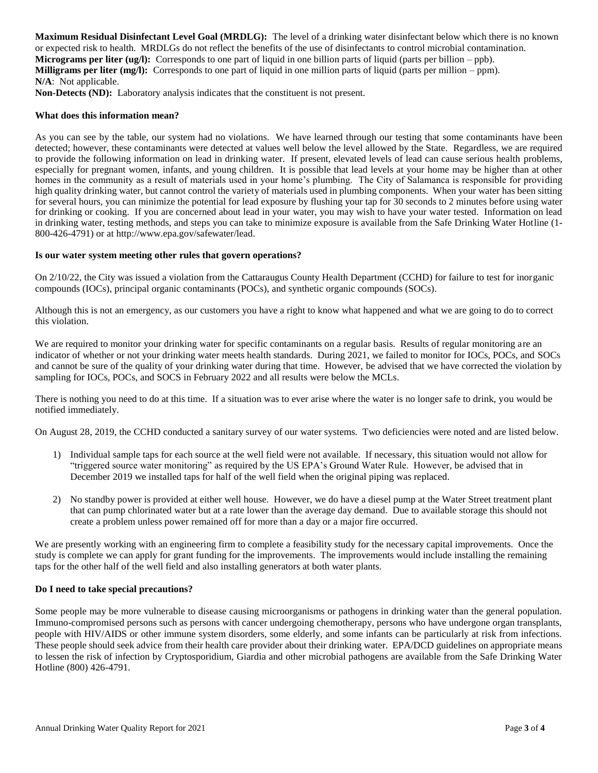**Maximum Residual Disinfectant Level Goal (MRDLG):** The level of a drinking water disinfectant below which there is no known or expected risk to health. MRDLGs do not reflect the benefits of the use of disinfectants to control microbial contamination. **Micrograms per liter (ug/l):** Corresponds to one part of liquid in one billion parts of liquid (parts per billion – ppb). **Milligrams per liter (mg/l):** Corresponds to one part of liquid in one million parts of liquid (parts per million – ppm). **N/A**: Not applicable.

**Non-Detects (ND):** Laboratory analysis indicates that the constituent is not present.

### **What does this information mean?**

As you can see by the table, our system had no violations. We have learned through our testing that some contaminants have been detected; however, these contaminants were detected at values well below the level allowed by the State. Regardless, we are required to provide the following information on lead in drinking water. If present, elevated levels of lead can cause serious health problems, especially for pregnant women, infants, and young children. It is possible that lead levels at your home may be higher than at other homes in the community as a result of materials used in your home's plumbing. The City of Salamanca is responsible for providing high quality drinking water, but cannot control the variety of materials used in plumbing components. When your water has been sitting for several hours, you can minimize the potential for lead exposure by flushing your tap for 30 seconds to 2 minutes before using water for drinking or cooking. If you are concerned about lead in your water, you may wish to have your water tested. Information on lead in drinking water, testing methods, and steps you can take to minimize exposure is available from the Safe Drinking Water Hotline (1- 800-426-4791) or at [http://www.epa.gov/safewater/lead.](http://www.epa.gov/safewater/lead)

#### **Is our water system meeting other rules that govern operations?**

On 2/10/22, the City was issued a violation from the Cattaraugus County Health Department (CCHD) for failure to test for inorganic compounds (IOCs), principal organic contaminants (POCs), and synthetic organic compounds (SOCs).

Although this is not an emergency, as our customers you have a right to know what happened and what we are going to do to correct this violation.

We are required to monitor your drinking water for specific contaminants on a regular basis. Results of regular monitoring are an indicator of whether or not your drinking water meets health standards. During 2021, we failed to monitor for IOCs, POCs, and SOCs and cannot be sure of the quality of your drinking water during that time. However, be advised that we have corrected the violation by sampling for IOCs, POCs, and SOCS in February 2022 and all results were below the MCLs.

There is nothing you need to do at this time. If a situation was to ever arise where the water is no longer safe to drink, you would be notified immediately.

On August 28, 2019, the CCHD conducted a sanitary survey of our water systems. Two deficiencies were noted and are listed below.

- 1) Individual sample taps for each source at the well field were not available. If necessary, this situation would not allow for "triggered source water monitoring" as required by the US EPA's Ground Water Rule. However, be advised that in December 2019 we installed taps for half of the well field when the original piping was replaced.
- 2) No standby power is provided at either well house. However, we do have a diesel pump at the Water Street treatment plant that can pump chlorinated water but at a rate lower than the average day demand. Due to available storage this should not create a problem unless power remained off for more than a day or a major fire occurred.

We are presently working with an engineering firm to complete a feasibility study for the necessary capital improvements. Once the study is complete we can apply for grant funding for the improvements. The improvements would include installing the remaining taps for the other half of the well field and also installing generators at both water plants.

#### **Do I need to take special precautions?**

Some people may be more vulnerable to disease causing microorganisms or pathogens in drinking water than the general population. Immuno-compromised persons such as persons with cancer undergoing chemotherapy, persons who have undergone organ transplants, people with HIV/AIDS or other immune system disorders, some elderly, and some infants can be particularly at risk from infections. These people should seek advice from their health care provider about their drinking water. EPA/DCD guidelines on appropriate means to lessen the risk of infection by Cryptosporidium, Giardia and other microbial pathogens are available from the Safe Drinking Water Hotline (800) 426-4791.